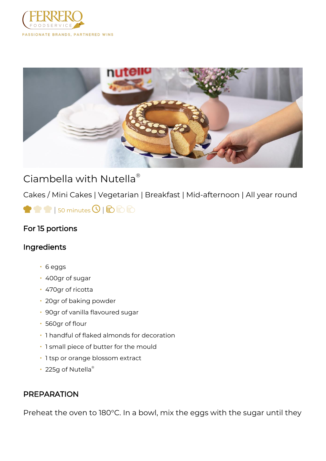



## Ciambella with Nutella®

Cakes / Mini Cakes | Vegetarian | Breakfast | Mid-afternoon | All year round

 $\bigcirc$   $\bigcirc$  | 50 minutes  $\bigcirc$  |  $\bigcirc$   $\bigcirc$   $\bigcirc$ 

## For 15 portions

## Ingredients

- 6 eggs
- 400gr of sugar
- 470gr of ricotta
- 20gr of baking powder
- 90gr of vanilla flavoured sugar
- 560gr of flour
- 1 handful of flaked almonds for decoration
- 1 small piece of butter for the mould
- 1 tsp or orange blossom extract
- 225g of Nutella®

## PREPARATION

Preheat the oven to 180°C. In a bowl, mix the eggs with the sugar until they